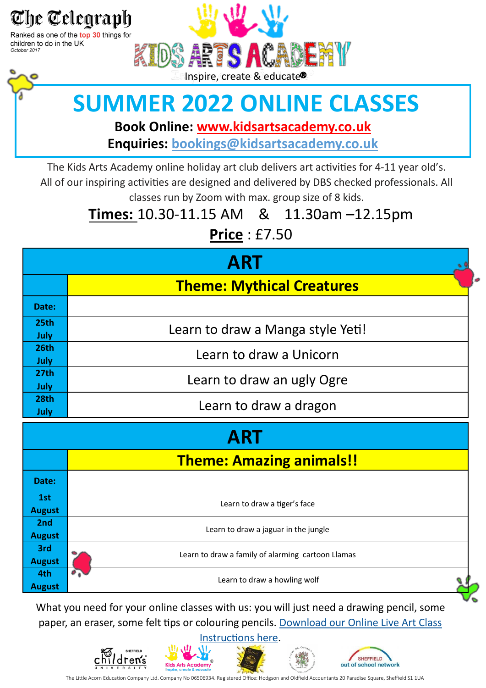

Ranked as one of the top 30 things for children to do in the UK October 2017



# **SUMMER 2022 ONLINE CLASSES**

**Book Online: www.kidsartsacademy.co.uk Enquiries: bookings@[kidsartsacademy.co.uk](mailto:bookings@kidsartsacademy.co.uk)**

The Kids Arts Academy online holiday art club delivers art activities for 4-11 year old's. All of our inspiring activities are designed and delivered by DBS checked professionals. All classes run by Zoom with max. group size of 8 kids.

#### **Times:** 10.30-11.15 AM & 11.30am –12.15pm

**Price** : £7.50

|                  | <b>ART</b>                        |
|------------------|-----------------------------------|
|                  | <b>Theme: Mythical Creatures</b>  |
| Date:            |                                   |
| 25 <sub>th</sub> | Learn to draw a Manga style Yeti! |
| July             |                                   |
| <b>26th</b>      | Learn to draw a Unicorn           |
| July             |                                   |
| 27 <sub>th</sub> | Learn to draw an ugly Ogre        |
| <b>July</b>      |                                   |
| <b>28th</b>      | Learn to draw a dragon            |
| July             |                                   |

| <b>ART</b>           |                                                   |  |  |
|----------------------|---------------------------------------------------|--|--|
|                      | <b>Theme: Amazing animals!!</b>                   |  |  |
| Date:                |                                                   |  |  |
| 1st<br><b>August</b> | Learn to draw a tiger's face                      |  |  |
| 2nd<br><b>August</b> | Learn to draw a jaguar in the jungle              |  |  |
| 3rd<br><b>August</b> | Learn to draw a family of alarming cartoon Llamas |  |  |
| 4th<br><b>August</b> | Learn to draw a howling wolf                      |  |  |

What you need for your online classes with us: you will just need a drawing pencil, some paper, an eraser, some felt tips or colouring pencils. [Download our Online Live Art Class](https://kidsartsacademy.co.uk/wp-content/uploads/2020/11/online-art-instructions.pdf) 

[Instructions here.](https://kidsartsacademy.co.uk/wp-content/uploads/2020/11/online-art-instructions.pdf)









The Little Acorn Education Company Ltd. Company No 06506934. Registered Office: Hodgson and Oldfield Accountants 20 Paradise Square, Sheffield S1 1UA